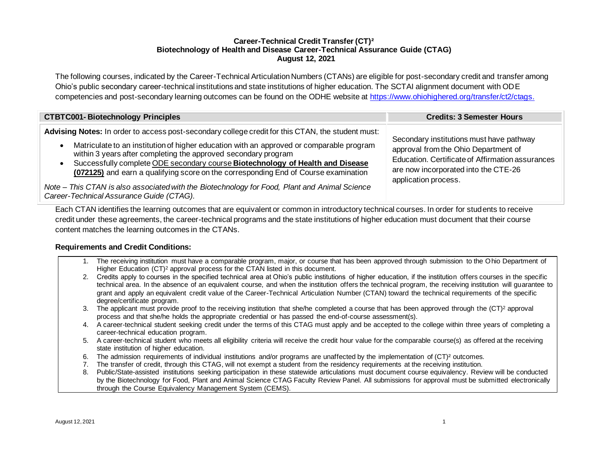## **Career-Technical Credit Transfer (CT)² Biotechnology of Health and Disease Career-Technical Assurance Guide (CTAG) August 12, 2021**

The following courses, indicated by the Career-Technical Articulation Numbers (CTANs) are eligible for post-secondary credit and transfer among Ohio's public secondary career-technical institutions and state institutions of higher education. The SCTAI alignment document with ODE competencies and post-secondary learning outcomes can be found on the ODHE website at<https://www.ohiohighered.org/transfer/ct2/ctags>.

| <b>CTBTC001-Biotechnology Principles</b>                                                                                                                                                                                                                                                                                                                                                                                                                                                                                                                                              | <b>Credits: 3 Semester Hours</b>                                                                                                                                                                     |
|---------------------------------------------------------------------------------------------------------------------------------------------------------------------------------------------------------------------------------------------------------------------------------------------------------------------------------------------------------------------------------------------------------------------------------------------------------------------------------------------------------------------------------------------------------------------------------------|------------------------------------------------------------------------------------------------------------------------------------------------------------------------------------------------------|
| Advising Notes: In order to access post-secondary college credit for this CTAN, the student must:<br>Matriculate to an institution of higher education with an approved or comparable program<br>within 3 years after completing the approved secondary program<br>Successfully complete ODE secondary course Biotechnology of Health and Disease<br>(072125) and earn a qualifying score on the corresponding End of Course examination<br>Note – This CTAN is also associated with the Biotechnology for Food, Plant and Animal Science<br>Career-Technical Assurance Guide (CTAG). | Secondary institutions must have pathway<br>approval from the Ohio Department of<br>Education. Certificate of Affirmation assurances<br>are now incorporated into the CTE-26<br>application process. |

Each CTAN identifies the learning outcomes that are equivalent or common in introductory technical courses. In order for students to receive credit under these agreements, the career-technical programs and the state institutions of higher education must document that their course content matches the learning outcomes in the CTANs.

# **Requirements and Credit Conditions:**

- 1. The receiving institution must have a comparable program, major, or course that has been approved through submission to the Ohio Department of Higher Education (CT)<sup>2</sup> approval process for the CTAN listed in this document.
- 2. Credits apply to courses in the specified technical area at Ohio's public institutions of higher education, if the institution offers courses in the specific technical area. In the absence of an equivalent course, and when the institution offers the technical program, the receiving institution will guarantee to grant and apply an equivalent credit value of the Career-Technical Articulation Number (CTAN) toward the technical requirements of the specific degree/certificate program.
- 3. The applicant must provide proof to the receiving institution that she/he completed a course that has been approved through the (CT)<sup>2</sup> approval process and that she/he holds the appropriate credential or has passed the end-of-course assessment(s).
- 4. A career-technical student seeking credit under the terms of this CTAG must apply and be accepted to the college within three years of completing a career-technical education program.
- 5. A career-technical student who meets all eligibility criteria will receive the credit hour value for the comparable course(s) as offered at the receiving state institution of higher education.
- 6. The admission requirements of individual institutions and/or programs are unaffected by the implementation of (CT)² outcomes.
- 7. The transfer of credit, through this CTAG, will not exempt a student from the residency requirements at the receiving institution.
- 8. Public/State-assisted institutions seeking participation in these statewide articulations must document course equivalency. Review will be conducted by the Biotechnology for Food, Plant and Animal Science CTAG Faculty Review Panel. All submissions for approval must be submitted electronically through the Course Equivalency Management System (CEMS).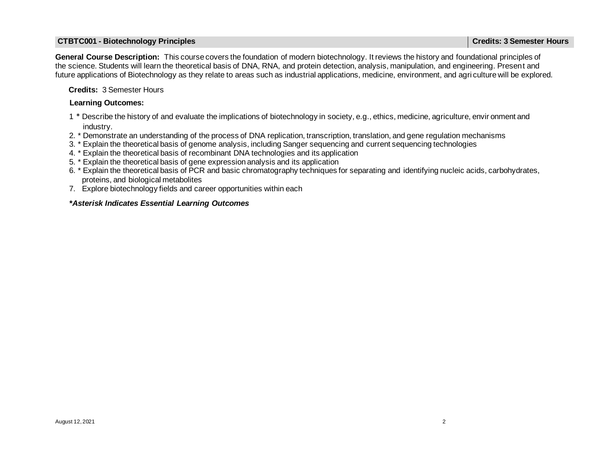# **CTBTC001 - Biotechnology Principles Credits: 3 Semester Hours**

**General Course Description:** This course covers the foundation of modern biotechnology. It reviews the history and foundational principles of the science. Students will learn the theoretical basis of DNA, RNA, and protein detection, analysis, manipulation, and engineering. Present and future applications of Biotechnology as they relate to areas such as industrial applications, medicine, environment, and agri culture will be explored.

 **Credits:** 3 Semester Hours

#### **Learning Outcomes:**

- 1 \* Describe the history of and evaluate the implications of biotechnology in society, e.g., ethics, medicine, agriculture, envir onment and industry.
- 2. \* Demonstrate an understanding of the process of DNA replication, transcription, translation, and gene regulation mechanisms
- 3. \* Explain the theoretical basis of genome analysis, including Sanger sequencing and current sequencing technologies
- 4. \* Explain the theoretical basis of recombinant DNA technologies and its application
- 5. \* Explain the theoretical basis of gene expression analysis and its application
- 6. \* Explain the theoretical basis of PCR and basic chromatography techniques for separating and identifying nucleic acids, carbohydrates, proteins, and biological metabolites
- 7. Explore biotechnology fields and career opportunities within each

### *\*Asterisk Indicates Essential Learning Outcomes*